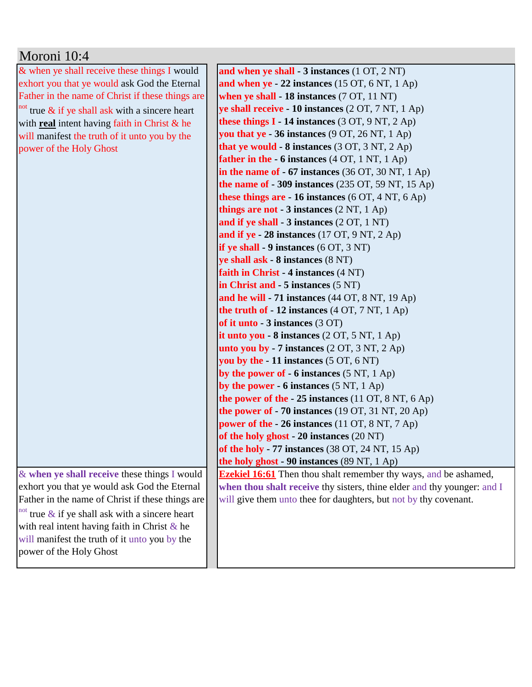| Moroni 10:4                                                   |                                                                            |
|---------------------------------------------------------------|----------------------------------------------------------------------------|
| & when ye shall receive these things I would                  | and when ye shall - 3 instances (1 OT, 2 NT)                               |
| exhort you that ye would ask God the Eternal                  | and when $ye - 22$ instances (15 OT, 6 NT, 1 Ap)                           |
| Father in the name of Christ if these things are              | when ye shall - 18 instances (7 OT, 11 NT)                                 |
| $\frac{1}{2}$ and true & if ye shall ask with a sincere heart | ye shall receive - 10 instances (2 OT, 7 NT, 1 Ap)                         |
| with real intent having faith in Christ & he                  | these things $I - 14$ instances (3 OT, 9 NT, 2 Ap)                         |
| will manifest the truth of it unto you by the                 | you that ye $-36$ instances (9 OT, 26 NT, 1 Ap)                            |
| power of the Holy Ghost                                       | that ye would - 8 instances (3 OT, 3 NT, 2 Ap)                             |
|                                                               | father in the - 6 instances (4 OT, 1 NT, 1 Ap)                             |
|                                                               | in the name of $-67$ instances (36 OT, 30 NT, 1 Ap)                        |
|                                                               | the name of $-309$ instances (235 OT, 59 NT, 15 Ap)                        |
|                                                               | these things are $-16$ instances (6 OT, 4 NT, 6 Ap)                        |
|                                                               | things are not - 3 instances (2 NT, 1 Ap)                                  |
|                                                               | and if ye shall - 3 instances (2 OT, 1 NT)                                 |
|                                                               | and if ye - 28 instances $(17 \text{ OT}, 9 \text{ NT}, 2 \text{ Ap})$     |
|                                                               | if ye shall $-9$ instances $(6 OT, 3 NT)$                                  |
|                                                               | ye shall ask - 8 instances (8 NT)                                          |
|                                                               | faith in Christ - 4 instances (4 NT)                                       |
|                                                               | in Christ and - 5 instances (5 NT)                                         |
|                                                               | and he will - 71 instances (44 OT, 8 NT, 19 Ap)                            |
|                                                               | the truth of $-12$ instances (4 OT, 7 NT, 1 Ap)                            |
|                                                               | of it unto - 3 instances (3 OT)                                            |
|                                                               | it unto you $-8$ instances $(2 OT, 5 NT, 1 Ap)$                            |
|                                                               | unto you by $-7$ instances $(2 OT, 3 NT, 2 Ap)$                            |
|                                                               | you by the $-11$ instances $(5 \text{ OT}, 6 \text{ NT})$                  |
|                                                               | by the power of $-6$ instances (5 NT, 1 Ap)                                |
|                                                               | by the power - $6$ instances $(5 \text{ NT}, 1 \text{ Ap})$                |
|                                                               | the power of the $-25$ instances (11 OT, 8 NT, 6 Ap)                       |
|                                                               | the power of $-70$ instances (19 OT, 31 NT, 20 Ap)                         |
|                                                               | power of the - 26 instances (11 OT, 8 NT, 7 Ap)                            |
|                                                               | of the holy ghost - 20 instances (20 NT)                                   |
|                                                               | of the holy - 77 instances $(38 \text{ OT}, 24 \text{ NT}, 15 \text{ Ap})$ |
|                                                               | the holy ghost - 90 instances (89 NT, 1 Ap)                                |
| & when ye shall receive these things I would                  | <b>Ezekiel 16:61</b> Then thou shalt remember thy ways, and be ashamed,    |
| exhort you that ye would ask God the Eternal                  | when thou shalt receive thy sisters, thine elder and thy younger: and I    |
| Father in the name of Christ if these things are              | will give them unto thee for daughters, but not by thy covenant.           |
| $\frac{1}{2}$ and true & if ye shall ask with a sincere heart |                                                                            |
| with real intent having faith in Christ $\&$ he               |                                                                            |
| will manifest the truth of it unto you by the                 |                                                                            |
| power of the Holy Ghost                                       |                                                                            |
|                                                               |                                                                            |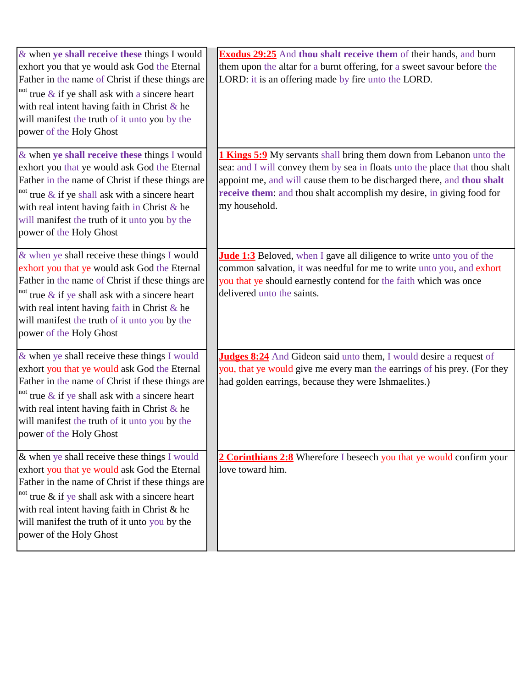| $\&$ when ye shall receive these things I would<br>exhort you that ye would ask God the Eternal<br>Father in the name of Christ if these things are<br><sup>not</sup> true $\&$ if ye shall ask with a sincere heart<br>with real intent having faith in Christ $\&$ he<br>will manifest the truth of it unto you by the<br>power of the Holy Ghost | <b>Exodus 29:25</b> And thou shalt receive them of their hands, and burn<br>them upon the altar for a burnt offering, for a sweet savour before the<br>LORD: it is an offering made by fire unto the LORD.                                                                                                                    |
|-----------------------------------------------------------------------------------------------------------------------------------------------------------------------------------------------------------------------------------------------------------------------------------------------------------------------------------------------------|-------------------------------------------------------------------------------------------------------------------------------------------------------------------------------------------------------------------------------------------------------------------------------------------------------------------------------|
| & when ye shall receive these things I would<br>exhort you that ye would ask God the Eternal<br>Father in the name of Christ if these things are<br><sup>not</sup> true $\&$ if ye shall ask with a sincere heart<br>with real intent having faith in Christ & he<br>will manifest the truth of it unto you by the<br>power of the Holy Ghost       | <b>1 Kings 5:9</b> My servants shall bring them down from Lebanon unto the<br>sea: and I will convey them by sea in floats unto the place that thou shalt<br>appoint me, and will cause them to be discharged there, and thou shalt<br>receive them: and thou shalt accomplish my desire, in giving food for<br>my household. |
| & when ye shall receive these things I would<br>exhort you that ye would ask God the Eternal<br>Father in the name of Christ if these things are<br>not true $\&$ if ye shall ask with a sincere heart<br>with real intent having faith in Christ & he<br>will manifest the truth of it unto you by the<br>power of the Holy Ghost                  | <b>Jude 1:3</b> Beloved, when I gave all diligence to write unto you of the<br>common salvation, it was needful for me to write unto you, and exhort<br>you that ye should earnestly contend for the faith which was once<br>delivered unto the saints.                                                                       |
| $\&$ when ye shall receive these things I would<br>exhort you that ye would ask God the Eternal<br>Father in the name of Christ if these things are<br>not true $\&$ if ye shall ask with a sincere heart<br>with real intent having faith in Christ $\&$ he<br>will manifest the truth of it unto you by the<br>power of the Holy Ghost            | Judges 8:24 And Gideon said unto them, I would desire a request of<br>you, that ye would give me every man the earrings of his prey. (For they<br>had golden earrings, because they were Ishmaelites.)                                                                                                                        |
| $\&$ when ye shall receive these things I would<br>exhort you that ye would ask God the Eternal<br>Father in the name of Christ if these things are<br><sup>not</sup> true $\&$ if ye shall ask with a sincere heart<br>with real intent having faith in Christ & he<br>will manifest the truth of it unto you by the<br>power of the Holy Ghost    | 2 Corinthians 2:8 Wherefore I beseech you that ye would confirm your<br>love toward him.                                                                                                                                                                                                                                      |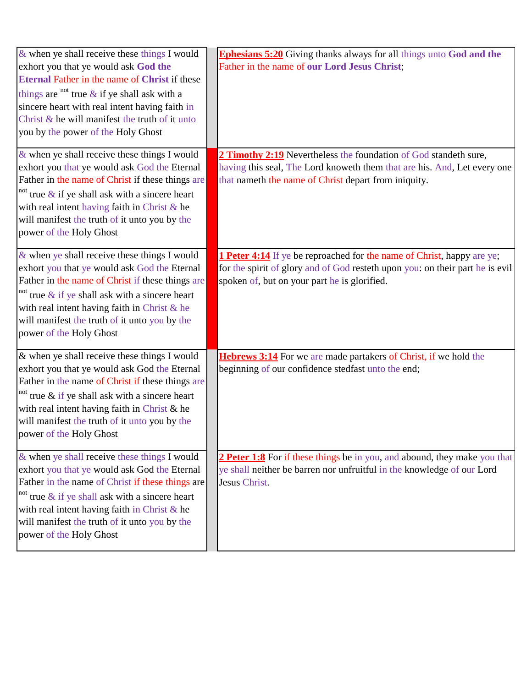| $&$ when ye shall receive these things I would<br>exhort you that ye would ask God the<br>Eternal Father in the name of Christ if these<br>things are <sup>not</sup> true $\&$ if ye shall ask with a<br>sincere heart with real intent having faith in<br>Christ $\&$ he will manifest the truth of it unto<br>you by the power of the Holy Ghost | <b>Ephesians 5:20</b> Giving thanks always for all things unto God and the<br>Father in the name of our Lord Jesus Christ;                                                                                     |
|----------------------------------------------------------------------------------------------------------------------------------------------------------------------------------------------------------------------------------------------------------------------------------------------------------------------------------------------------|----------------------------------------------------------------------------------------------------------------------------------------------------------------------------------------------------------------|
| $\&$ when ye shall receive these things I would<br>exhort you that ye would ask God the Eternal<br>Father in the name of Christ if these things are<br><sup>not</sup> true $\&$ if ye shall ask with a sincere heart<br>with real intent having faith in Christ & he<br>will manifest the truth of it unto you by the<br>power of the Holy Ghost   | 2 Timothy 2:19 Nevertheless the foundation of God standeth sure,<br>having this seal, The Lord knoweth them that are his. And, Let every one<br>that nameth the name of Christ depart from iniquity.           |
| $\&$ when ye shall receive these things I would<br>exhort you that ye would ask God the Eternal<br>Father in the name of Christ if these things are<br><sup>not</sup> true $\&$ if ye shall ask with a sincere heart<br>with real intent having faith in Christ & he<br>will manifest the truth of it unto you by the<br>power of the Holy Ghost   | <b>1 Peter 4:14</b> If ye be reproached for the name of Christ, happy are ye;<br>for the spirit of glory and of God resteth upon you: on their part he is evil<br>spoken of, but on your part he is glorified. |
| & when ye shall receive these things I would<br>exhort you that ye would ask God the Eternal<br>Father in the name of Christ if these things are<br><sup>not</sup> true $\&$ if ye shall ask with a sincere heart<br>with real intent having faith in Christ & he<br>will manifest the truth of it unto you by the<br>power of the Holy Ghost      | Hebrews 3:14 For we are made partakers of Christ, if we hold the<br>beginning of our confidence stedfast unto the end;                                                                                         |
| $\&$ when ye shall receive these things I would<br>exhort you that ye would ask God the Eternal<br>Father in the name of Christ if these things are<br><sup>not</sup> true $\&$ if ye shall ask with a sincere heart<br>with real intent having faith in Christ & he<br>will manifest the truth of it unto you by the<br>power of the Holy Ghost   | 2 Peter 1:8 For if these things be in you, and abound, they make you that<br>ye shall neither be barren nor unfruitful in the knowledge of our Lord<br>Jesus Christ.                                           |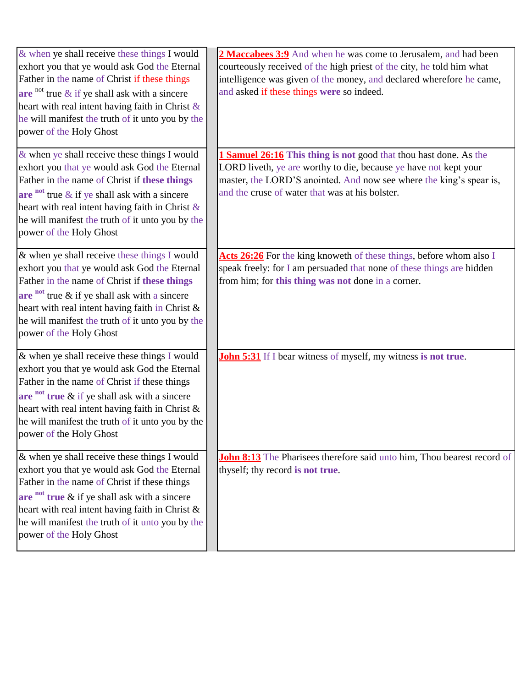| & when ye shall receive these things I would<br>exhort you that ye would ask God the Eternal<br>Father in the name of Christ if these things<br>are not true $\&$ if ye shall ask with a sincere<br>heart with real intent having faith in Christ $\&$<br>he will manifest the truth of it unto you by the<br>power of the Holy Ghost    | 2 Maccabees 3:9 And when he was come to Jerusalem, and had been<br>courteously received of the high priest of the city, he told him what<br>intelligence was given of the money, and declared wherefore he came,<br>and asked if these things were so indeed.   |
|------------------------------------------------------------------------------------------------------------------------------------------------------------------------------------------------------------------------------------------------------------------------------------------------------------------------------------------|-----------------------------------------------------------------------------------------------------------------------------------------------------------------------------------------------------------------------------------------------------------------|
| $\&$ when ye shall receive these things I would<br>exhort you that ye would ask God the Eternal<br>Father in the name of Christ if these things<br>are not true $\&$ if ye shall ask with a sincere<br>heart with real intent having faith in Christ $\&$<br>he will manifest the truth of it unto you by the<br>power of the Holy Ghost | 1 Samuel 26:16 This thing is not good that thou hast done. As the<br>LORD liveth, ye are worthy to die, because ye have not kept your<br>master, the LORD'S anointed. And now see where the king's spear is,<br>and the cruse of water that was at his bolster. |
| & when ye shall receive these things I would<br>exhort you that ye would ask God the Eternal<br>Father in the name of Christ if these things<br>are $int$ true $\&$ if ye shall ask with a sincere<br>heart with real intent having faith in Christ &<br>he will manifest the truth of it unto you by the<br>power of the Holy Ghost     | Acts 26:26 For the king knoweth of these things, before whom also I<br>speak freely: for I am persuaded that none of these things are hidden<br>from him; for this thing was not done in a corner.                                                              |
| $\&$ when ye shall receive these things I would<br>exhort you that ye would ask God the Eternal<br>Father in the name of Christ if these things<br>are not true $\&$ if ye shall ask with a sincere<br>heart with real intent having faith in Christ &<br>he will manifest the truth of it unto you by the<br>power of the Holy Ghost    | <b>John 5:31</b> If I bear witness of myself, my witness is not true.                                                                                                                                                                                           |
| $\&$ when ye shall receive these things I would<br>exhort you that ye would ask God the Eternal<br>Father in the name of Christ if these things<br>are $int$ true $\&$ if ye shall ask with a sincere<br>heart with real intent having faith in Christ &<br>he will manifest the truth of it unto you by the<br>power of the Holy Ghost  | <b>John 8:13</b> The Pharisees therefore said unto him, Thou bearest record of<br>thyself; thy record is not true.                                                                                                                                              |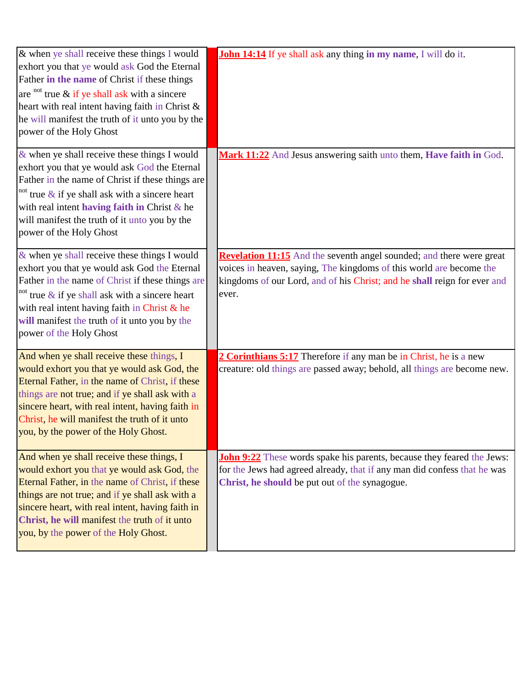| & when ye shall receive these things I would<br>exhort you that ye would ask God the Eternal<br>Father in the name of Christ if these things<br>are $\alpha$ <sup>not</sup> true & if ye shall ask with a sincere<br>heart with real intent having faith in Christ &<br>he will manifest the truth of it unto you by the<br>power of the Holy Ghost | John 14:14 If ye shall ask any thing in my name, I will do it.                                                                                                                                                                   |
|-----------------------------------------------------------------------------------------------------------------------------------------------------------------------------------------------------------------------------------------------------------------------------------------------------------------------------------------------------|----------------------------------------------------------------------------------------------------------------------------------------------------------------------------------------------------------------------------------|
| $\&$ when ye shall receive these things I would<br>exhort you that ye would ask God the Eternal<br>Father in the name of Christ if these things are<br><sup>not</sup> true $\&$ if ye shall ask with a sincere heart<br>with real intent having faith in Christ $\&$ he<br>will manifest the truth of it unto you by the<br>power of the Holy Ghost | Mark 11:22 And Jesus answering saith unto them, Have faith in God.                                                                                                                                                               |
| $\&$ when ye shall receive these things I would<br>exhort you that ye would ask God the Eternal<br>Father in the name of Christ if these things are<br>$\frac{1}{2}$ and true & if ye shall ask with a sincere heart<br>with real intent having faith in Christ & he<br>will manifest the truth of it unto you by the<br>power of the Holy Ghost    | Revelation 11:15 And the seventh angel sounded; and there were great<br>voices in heaven, saying, The kingdoms of this world are become the<br>kingdoms of our Lord, and of his Christ; and he shall reign for ever and<br>ever. |
| And when ye shall receive these things, I<br>would exhort you that ye would ask God, the<br>Eternal Father, in the name of Christ, if these<br>things are not true; and if ye shall ask with a<br>sincere heart, with real intent, having faith in<br>Christ, he will manifest the truth of it unto<br>you, by the power of the Holy Ghost.         | 2 Corinthians 5:17 Therefore if any man be in Christ, he is a new<br>creature: old things are passed away; behold, all things are become new.                                                                                    |
| And when ye shall receive these things, I<br>would exhort you that ye would ask God, the<br>Eternal Father, in the name of Christ, if these<br>things are not true; and if ye shall ask with a<br>sincere heart, with real intent, having faith in<br>Christ, he will manifest the truth of it unto<br>you, by the power of the Holy Ghost.         | <b>John 9:22</b> These words spake his parents, because they feared the Jews:<br>for the Jews had agreed already, that if any man did confess that he was<br>Christ, he should be put out of the synagogue.                      |